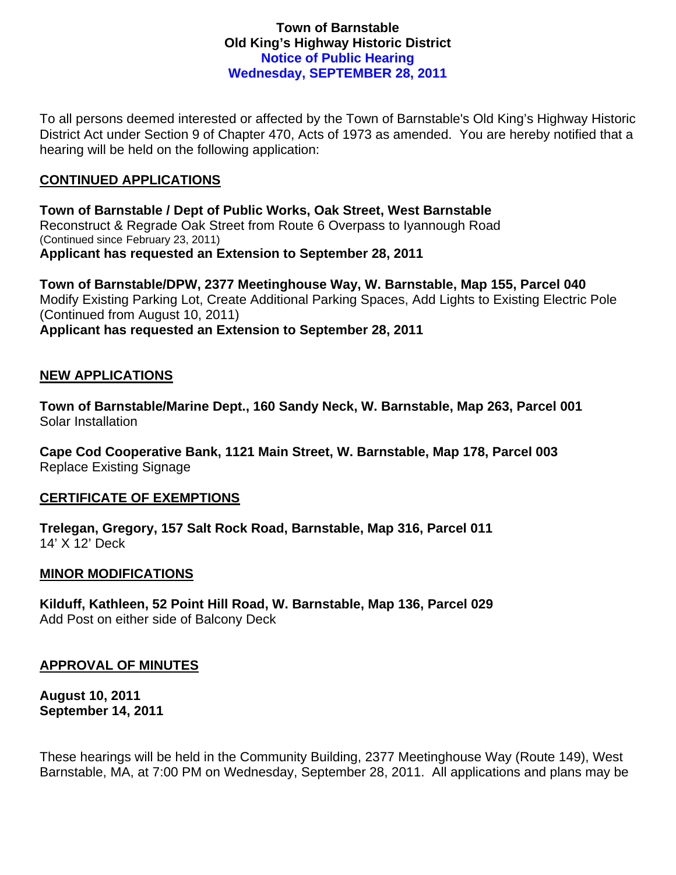## **Town of Barnstable Old King's Highway Historic District Notice of Public Hearing Wednesday, SEPTEMBER 28, 2011**

To all persons deemed interested or affected by the Town of Barnstable's Old King's Highway Historic District Act under Section 9 of Chapter 470, Acts of 1973 as amended. You are hereby notified that a hearing will be held on the following application:

# **CONTINUED APPLICATIONS**

**Town of Barnstable / Dept of Public Works, Oak Street, West Barnstable**  Reconstruct & Regrade Oak Street from Route 6 Overpass to Iyannough Road (Continued since February 23, 2011) **Applicant has requested an Extension to September 28, 2011** 

**Town of Barnstable/DPW, 2377 Meetinghouse Way, W. Barnstable, Map 155, Parcel 040**  Modify Existing Parking Lot, Create Additional Parking Spaces, Add Lights to Existing Electric Pole (Continued from August 10, 2011) **Applicant has requested an Extension to September 28, 2011** 

# **NEW APPLICATIONS**

**Town of Barnstable/Marine Dept., 160 Sandy Neck, W. Barnstable, Map 263, Parcel 001**  Solar Installation

**Cape Cod Cooperative Bank, 1121 Main Street, W. Barnstable, Map 178, Parcel 003**  Replace Existing Signage

## **CERTIFICATE OF EXEMPTIONS**

**Trelegan, Gregory, 157 Salt Rock Road, Barnstable, Map 316, Parcel 011**  14' X 12' Deck

## **MINOR MODIFICATIONS**

**Kilduff, Kathleen, 52 Point Hill Road, W. Barnstable, Map 136, Parcel 029**  Add Post on either side of Balcony Deck

## **APPROVAL OF MINUTES**

**August 10, 2011 September 14, 2011** 

These hearings will be held in the Community Building, 2377 Meetinghouse Way (Route 149), West Barnstable, MA, at 7:00 PM on Wednesday, September 28, 2011. All applications and plans may be